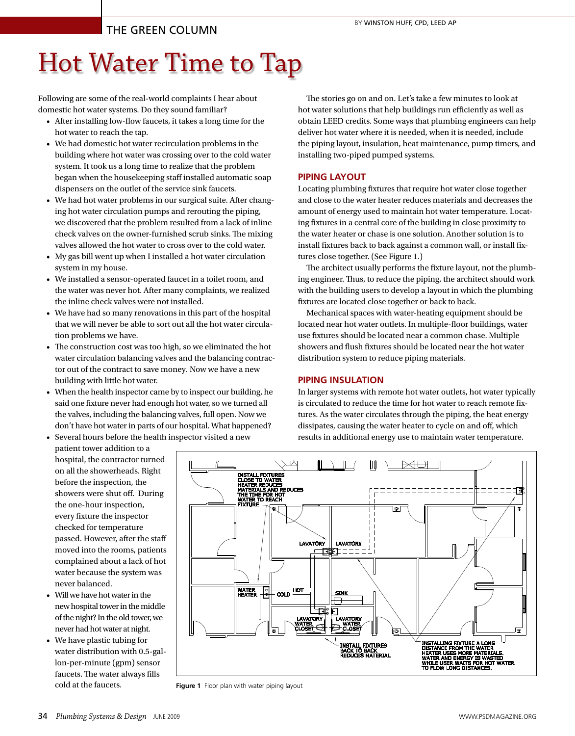## The Green Column

# Hot Water Time to Tap

Following are some of the real-world complaints I hear about domestic hot water systems. Do they sound familiar?

- • After installing low-flow faucets, it takes a long time for the hot water to reach the tap.
- We had domestic hot water recirculation problems in the building where hot water was crossing over to the cold water system. It took us a long time to realize that the problem began when the housekeeping staff installed automatic soap dispensers on the outlet of the service sink faucets.
- We had hot water problems in our surgical suite. After changing hot water circulation pumps and rerouting the piping, we discovered that the problem resulted from a lack of inline check valves on the owner-furnished scrub sinks. The mixing valves allowed the hot water to cross over to the cold water.
- • My gas bill went up when I installed a hot water circulation system in my house.
- • We installed a sensor-operated faucet in a toilet room, and the water was never hot. After many complaints, we realized the inline check valves were not installed.
- We have had so many renovations in this part of the hospital that we will never be able to sort out all the hot water circulation problems we have.
- The construction cost was too high, so we eliminated the hot water circulation balancing valves and the balancing contractor out of the contract to save money. Now we have a new building with little hot water.
- • When the health inspector came by to inspect our building, he said one fixture never had enough hot water, so we turned all the valves, including the balancing valves, full open. Now we don't have hot water in parts of our hospital. What happened?

• Several hours before the health inspector visited a new patient tower addition to a

The stories go on and on. Let's take a few minutes to look at hot water solutions that help buildings run efficiently as well as obtain LEED credits. Some ways that plumbing engineers can help deliver hot water where it is needed, when it is needed, include the piping layout, insulation, heat maintenance, pump timers, and installing two-piped pumped systems.

## **PIPING LAYOUT**

Locating plumbing fixtures that require hot water close together and close to the water heater reduces materials and decreases the amount of energy used to maintain hot water temperature. Locating fixtures in a central core of the building in close proximity to the water heater or chase is one solution. Another solution is to install fixtures back to back against a common wall, or install fixtures close together. (See Figure 1.)

The architect usually performs the fixture layout, not the plumbing engineer. Thus, to reduce the piping, the architect should work with the building users to develop a layout in which the plumbing fixtures are located close together or back to back.

Mechanical spaces with water-heating equipment should be located near hot water outlets. In multiple-floor buildings, water use fixtures should be located near a common chase. Multiple showers and flush fixtures should be located near the hot water distribution system to reduce piping materials.

## **PIPING INSULATION**

In larger systems with remote hot water outlets, hot water typically is circulated to reduce the time for hot water to reach remote fixtures. As the water circulates through the piping, the heat energy dissipates, causing the water heater to cycle on and off, which results in additional energy use to maintain water temperature.

hospital, the contractor turned on all the showerheads. Right before the inspection, the showers were shut off. During the one-hour inspection, every fixture the inspector checked for temperature passed. However, after the staff moved into the rooms, patients complained about a lack of hot water because the system was never balanced.

- Will we have hot water in the new hospital tower in the middle of the night? In the old tower, we never had hot water at night.
- We have plastic tubing for water distribution with 0.5-gallon-per-minute (gpm) sensor faucets. The water always fills cold at the faucets.



**Figure 1** Floor plan with water piping layout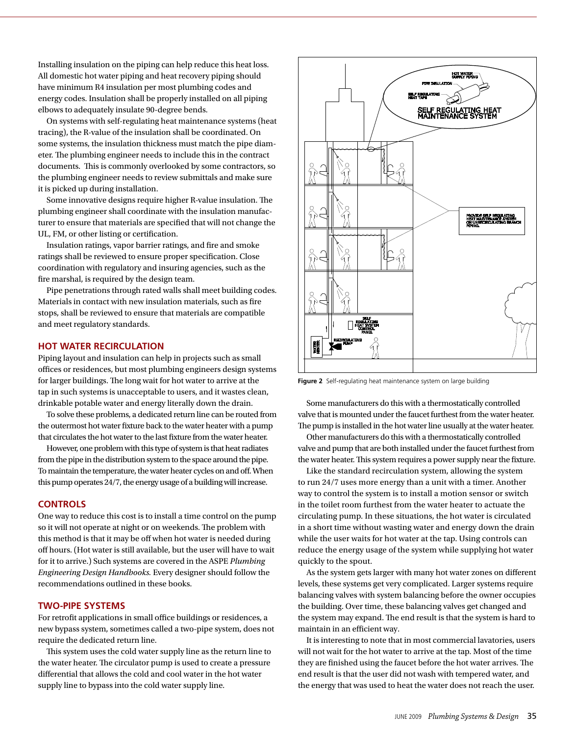Installing insulation on the piping can help reduce this heat loss. All domestic hot water piping and heat recovery piping should have minimum R4 insulation per most plumbing codes and energy codes. Insulation shall be properly installed on all piping elbows to adequately insulate 90-degree bends.

On systems with self-regulating heat maintenance systems (heat tracing), the R-value of the insulation shall be coordinated. On some systems, the insulation thickness must match the pipe diameter. The plumbing engineer needs to include this in the contract documents. This is commonly overlooked by some contractors, so the plumbing engineer needs to review submittals and make sure it is picked up during installation.

Some innovative designs require higher R-value insulation. The plumbing engineer shall coordinate with the insulation manufacturer to ensure that materials are specified that will not change the UL, FM, or other listing or certification.

Insulation ratings, vapor barrier ratings, and fire and smoke ratings shall be reviewed to ensure proper specification. Close coordination with regulatory and insuring agencies, such as the fire marshal, is required by the design team.

Pipe penetrations through rated walls shall meet building codes. Materials in contact with new insulation materials, such as fire stops, shall be reviewed to ensure that materials are compatible and meet regulatory standards.

## **HOT WATER RECIRCULATION**

Piping layout and insulation can help in projects such as small offices or residences, but most plumbing engineers design systems for larger buildings. The long wait for hot water to arrive at the tap in such systems is unacceptable to users, and it wastes clean, drinkable potable water and energy literally down the drain.

To solve these problems, a dedicated return line can be routed from the outermost hot water fixture back to the water heater with a pump that circulates the hot water to the last fixture from the water heater.

However, one problem with this type of system is that heat radiates from the pipe in the distribution system to the space around the pipe. To maintain the temperature, the water heater cycles on and off. When this pump operates 24/7, the energy usage of a building will increase.

#### **CONTROLS**

One way to reduce this cost is to install a time control on the pump so it will not operate at night or on weekends. The problem with this method is that it may be off when hot water is needed during off hours. (Hot water is still available, but the user will have to wait for it to arrive.) Such systems are covered in the ASPE *Plumbing Engineering Design Handbooks.* Every designer should follow the recommendations outlined in these books.

#### **TWO-PIPE SYSTEMS**

For retrofit applications in small office buildings or residences, a new bypass system, sometimes called a two-pipe system, does not require the dedicated return line.

This system uses the cold water supply line as the return line to the water heater. The circulator pump is used to create a pressure differential that allows the cold and cool water in the hot water supply line to bypass into the cold water supply line.



**Figure 2** Self-regulating heat maintenance system on large building

Some manufacturers do this with a thermostatically controlled valve that is mounted under the faucet furthest from the water heater. The pump is installed in the hot water line usually at the water heater.

Other manufacturers do this with a thermostatically controlled valve and pump that are both installed under the faucet furthest from the water heater. This system requires a power supply near the fixture.

Like the standard recirculation system, allowing the system to run 24/7 uses more energy than a unit with a timer. Another way to control the system is to install a motion sensor or switch in the toilet room furthest from the water heater to actuate the circulating pump. In these situations, the hot water is circulated in a short time without wasting water and energy down the drain while the user waits for hot water at the tap. Using controls can reduce the energy usage of the system while supplying hot water quickly to the spout.

As the system gets larger with many hot water zones on different levels, these systems get very complicated. Larger systems require balancing valves with system balancing before the owner occupies the building. Over time, these balancing valves get changed and the system may expand. The end result is that the system is hard to maintain in an efficient way.

It is interesting to note that in most commercial lavatories, users will not wait for the hot water to arrive at the tap. Most of the time they are finished using the faucet before the hot water arrives. The end result is that the user did not wash with tempered water, and the energy that was used to heat the water does not reach the user.